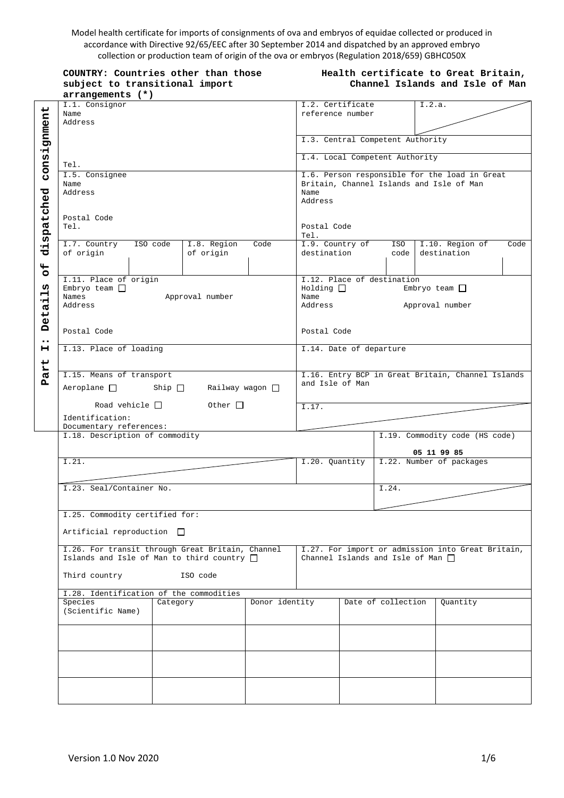Model health certificate for imports of consignments of ova and embryos of equidae collected or produced in accordance with Directive 92/65/EEC after 30 September 2014 and dispatched by an approved embryo collection or production team of origin of the ova or embryos (Regulation 2018/659) GBHC050X

|                                    | COUNTRY: Countries other than those<br>subject to transitional import                                                                                                                                                        | Health certificate to Great Britain,<br>Channel Islands and Isle of Man |                |                                                                                                                                                           |                                      |                    |                                                                                             |  |      |
|------------------------------------|------------------------------------------------------------------------------------------------------------------------------------------------------------------------------------------------------------------------------|-------------------------------------------------------------------------|----------------|-----------------------------------------------------------------------------------------------------------------------------------------------------------|--------------------------------------|--------------------|---------------------------------------------------------------------------------------------|--|------|
|                                    | arrangements (*)                                                                                                                                                                                                             |                                                                         |                |                                                                                                                                                           |                                      |                    |                                                                                             |  |      |
| consignment                        | I.1. Consignor<br>Name<br>Address                                                                                                                                                                                            |                                                                         |                |                                                                                                                                                           | I.2. Certificate<br>reference number |                    | I.2.a.                                                                                      |  |      |
|                                    |                                                                                                                                                                                                                              |                                                                         |                | I.3. Central Competent Authority                                                                                                                          |                                      |                    |                                                                                             |  |      |
|                                    | Tel.                                                                                                                                                                                                                         |                                                                         |                | I.4. Local Competent Authority                                                                                                                            |                                      |                    |                                                                                             |  |      |
|                                    | I.5. Consignee<br>Name<br>Address<br>Postal Code<br>Tel.                                                                                                                                                                     |                                                                         |                | I.6. Person responsible for the load in Great<br>Britain, Channel Islands and Isle of Man<br>Name<br>Address<br>Postal Code<br>Tel.                       |                                      |                    |                                                                                             |  |      |
| dispatched                         |                                                                                                                                                                                                                              |                                                                         |                |                                                                                                                                                           |                                      |                    |                                                                                             |  |      |
| $\overline{6}$                     | I.7. Country<br>ISO code<br>of origin                                                                                                                                                                                        | I.8. Region<br>of origin                                                | Code           | I.9. Country of<br>destination                                                                                                                            |                                      | ISO  <br>code      | I.10. Region of<br>destination                                                              |  | Code |
| w<br>$\blacksquare$<br>٠H<br>Deta: | I.11. Place of origin<br>Embryo team $\Box$<br>Names<br>Approval number<br>Address                                                                                                                                           |                                                                         |                | I.12. Place of destination<br>Embryo team $\Box$<br>$Holding$ $\Box$<br>Name<br>Address<br>Approval number                                                |                                      |                    |                                                                                             |  |      |
| $\bullet\bullet$                   | Postal Code                                                                                                                                                                                                                  |                                                                         |                | Postal Code                                                                                                                                               |                                      |                    |                                                                                             |  |      |
| н                                  | I.13. Place of loading<br>I.15. Means of transport<br>$Aeroplane$ Ship $\Box$<br>Railway wagon $\Box$<br>Other $\Box$<br>Road vehicle $\Box$<br>Identification:<br>Documentary references:<br>I.18. Description of commodity |                                                                         |                | I.14. Date of departure<br>I.16. Entry BCP in Great Britain, Channel Islands<br>and Isle of Man<br>I.17.<br>I.19. Commodity code (HS code)<br>05 11 99 85 |                                      |                    |                                                                                             |  |      |
| art<br>$\mathbf{p}$                |                                                                                                                                                                                                                              |                                                                         |                |                                                                                                                                                           |                                      |                    |                                                                                             |  |      |
|                                    |                                                                                                                                                                                                                              |                                                                         |                |                                                                                                                                                           |                                      |                    |                                                                                             |  |      |
|                                    |                                                                                                                                                                                                                              |                                                                         |                |                                                                                                                                                           |                                      |                    |                                                                                             |  |      |
|                                    | I.21.                                                                                                                                                                                                                        |                                                                         |                | I.22. Number of packages<br>I.20. Quantity<br>I.24.                                                                                                       |                                      |                    |                                                                                             |  |      |
|                                    | I.23. Seal/Container No.                                                                                                                                                                                                     |                                                                         |                |                                                                                                                                                           |                                      |                    |                                                                                             |  |      |
|                                    | I.25. Commodity certified for:<br>Artificial reproduction $\Box$                                                                                                                                                             |                                                                         |                |                                                                                                                                                           |                                      |                    |                                                                                             |  |      |
|                                    | I.26. For transit through Great Britain, Channel<br>Islands and Isle of Man to third country $\Box$                                                                                                                          |                                                                         |                |                                                                                                                                                           |                                      |                    | I.27. For import or admission into Great Britain,<br>Channel Islands and Isle of Man $\Box$ |  |      |
|                                    | Third country<br>ISO code<br>I.28. Identification of the commodities                                                                                                                                                         |                                                                         |                |                                                                                                                                                           |                                      |                    |                                                                                             |  |      |
|                                    | Species<br>Category                                                                                                                                                                                                          |                                                                         | Donor identity |                                                                                                                                                           |                                      | Date of collection | Quantity                                                                                    |  |      |
|                                    | (Scientific Name)                                                                                                                                                                                                            |                                                                         |                |                                                                                                                                                           |                                      |                    |                                                                                             |  |      |
|                                    |                                                                                                                                                                                                                              |                                                                         |                |                                                                                                                                                           |                                      |                    |                                                                                             |  |      |
|                                    |                                                                                                                                                                                                                              |                                                                         |                |                                                                                                                                                           |                                      |                    |                                                                                             |  |      |
|                                    |                                                                                                                                                                                                                              |                                                                         |                |                                                                                                                                                           |                                      |                    |                                                                                             |  |      |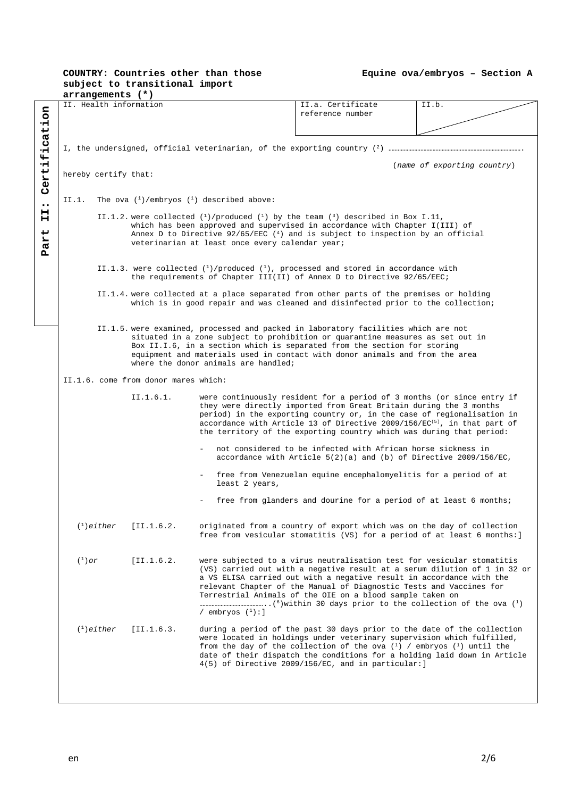**Equine ova/embryos – Section A**

|                                                                                                                                     |                                                                                                                                                                                                                                                                                                                                                    | arrangements (*)     |                        |                                                                                                                                                                                    |                                                                                                                                                                                                                                                                                                                                                                                  |                                                                           |  |  |  |
|-------------------------------------------------------------------------------------------------------------------------------------|----------------------------------------------------------------------------------------------------------------------------------------------------------------------------------------------------------------------------------------------------------------------------------------------------------------------------------------------------|----------------------|------------------------|------------------------------------------------------------------------------------------------------------------------------------------------------------------------------------|----------------------------------------------------------------------------------------------------------------------------------------------------------------------------------------------------------------------------------------------------------------------------------------------------------------------------------------------------------------------------------|---------------------------------------------------------------------------|--|--|--|
| Certification                                                                                                                       |                                                                                                                                                                                                                                                                                                                                                    |                      | II. Health information |                                                                                                                                                                                    | II.a. Certificate<br>reference number                                                                                                                                                                                                                                                                                                                                            | II.b.                                                                     |  |  |  |
|                                                                                                                                     |                                                                                                                                                                                                                                                                                                                                                    |                      |                        |                                                                                                                                                                                    |                                                                                                                                                                                                                                                                                                                                                                                  |                                                                           |  |  |  |
|                                                                                                                                     |                                                                                                                                                                                                                                                                                                                                                    |                      |                        |                                                                                                                                                                                    |                                                                                                                                                                                                                                                                                                                                                                                  |                                                                           |  |  |  |
|                                                                                                                                     |                                                                                                                                                                                                                                                                                                                                                    | hereby certify that: |                        |                                                                                                                                                                                    |                                                                                                                                                                                                                                                                                                                                                                                  | (name of exporting country)                                               |  |  |  |
| $\bullet\bullet$                                                                                                                    | The ova $\binom{1}{1}$ /embryos $\binom{1}{1}$ described above:<br>II.1.                                                                                                                                                                                                                                                                           |                      |                        |                                                                                                                                                                                    |                                                                                                                                                                                                                                                                                                                                                                                  |                                                                           |  |  |  |
| н<br>н<br>ب<br>'n<br>Pa                                                                                                             | II.1.2. were collected $\binom{1}{1}$ produced $\binom{1}{1}$ by the team $\binom{3}{1}$ described in Box I.11,<br>which has been approved and supervised in accordance with Chapter I(III) of<br>Annex D to Directive $92/65/EEC$ ( <sup>4</sup> ) and is subject to inspection by an official<br>veterinarian at least once every calendar year; |                      |                        |                                                                                                                                                                                    |                                                                                                                                                                                                                                                                                                                                                                                  |                                                                           |  |  |  |
|                                                                                                                                     |                                                                                                                                                                                                                                                                                                                                                    |                      |                        | II.1.3. were collected $\binom{1}{1}$ /produced $\binom{1}{1}$ , processed and stored in accordance with<br>the requirements of Chapter III(II) of Annex D to Directive 92/65/EEC; |                                                                                                                                                                                                                                                                                                                                                                                  |                                                                           |  |  |  |
|                                                                                                                                     |                                                                                                                                                                                                                                                                                                                                                    |                      |                        |                                                                                                                                                                                    | II.1.4. were collected at a place separated from other parts of the premises or holding<br>which is in good repair and was cleaned and disinfected prior to the collection;                                                                                                                                                                                                      |                                                                           |  |  |  |
|                                                                                                                                     |                                                                                                                                                                                                                                                                                                                                                    |                      |                        | where the donor animals are handled;                                                                                                                                               | II.1.5. were examined, processed and packed in laboratory facilities which are not<br>situated in a zone subject to prohibition or quarantine measures as set out in<br>Box II.I.6, in a section which is separated from the section for storing<br>equipment and materials used in contact with donor animals and from the area                                                 |                                                                           |  |  |  |
|                                                                                                                                     | II.1.6. come from donor mares which:                                                                                                                                                                                                                                                                                                               |                      |                        |                                                                                                                                                                                    |                                                                                                                                                                                                                                                                                                                                                                                  |                                                                           |  |  |  |
|                                                                                                                                     |                                                                                                                                                                                                                                                                                                                                                    |                      | II.1.6.1.              |                                                                                                                                                                                    | were continuously resident for a period of 3 months (or since entry if<br>they were directly imported from Great Britain during the 3 months<br>period) in the exporting country or, in the case of regionalisation in<br>accordance with Article 13 of Directive 2009/156/ $EC^{(5)}$ , in that part of<br>the territory of the exporting country which was during that period: |                                                                           |  |  |  |
| not considered to be infected with African horse sickness in<br>accordance with Article $5(2)(a)$ and (b) of Directive 2009/156/EC, |                                                                                                                                                                                                                                                                                                                                                    |                      |                        |                                                                                                                                                                                    |                                                                                                                                                                                                                                                                                                                                                                                  |                                                                           |  |  |  |
|                                                                                                                                     |                                                                                                                                                                                                                                                                                                                                                    |                      |                        | least 2 years,                                                                                                                                                                     | free from Venezuelan equine encephalomyelitis for a period of at                                                                                                                                                                                                                                                                                                                 |                                                                           |  |  |  |
|                                                                                                                                     |                                                                                                                                                                                                                                                                                                                                                    |                      |                        |                                                                                                                                                                                    | free from glanders and dourine for a period of at least 6 months;                                                                                                                                                                                                                                                                                                                |                                                                           |  |  |  |
|                                                                                                                                     |                                                                                                                                                                                                                                                                                                                                                    | $(1)$ either         | [II.1.6.2]             |                                                                                                                                                                                    | originated from a country of export which was on the day of collection<br>free from vesicular stomatitis (VS) for a period of at least 6 months:                                                                                                                                                                                                                                 |                                                                           |  |  |  |
|                                                                                                                                     | $(^1)$ or                                                                                                                                                                                                                                                                                                                                          |                      | [II.1.6.2]             | / embryos $(^1):$ ]                                                                                                                                                                | were subjected to a virus neutralisation test for vesicular stomatitis<br>a VS ELISA carried out with a negative result in accordance with the<br>relevant Chapter of the Manual of Diagnostic Tests and Vaccines for<br>Terrestrial Animals of the OIE on a blood sample taken on                                                                                               | (VS) carried out with a negative result at a serum dilution of 1 in 32 or |  |  |  |
|                                                                                                                                     |                                                                                                                                                                                                                                                                                                                                                    | $(1)$ either         | [II.1.6.3]             |                                                                                                                                                                                    | during a period of the past 30 days prior to the date of the collection<br>were located in holdings under veterinary supervision which fulfilled,<br>from the day of the collection of the ova $(1)$ / embryos $(1)$ until the<br>date of their dispatch the conditions for a holding laid down in Article<br>$4(5)$ of Directive 2009/156/EC, and in particular:]               |                                                                           |  |  |  |
|                                                                                                                                     |                                                                                                                                                                                                                                                                                                                                                    |                      |                        |                                                                                                                                                                                    |                                                                                                                                                                                                                                                                                                                                                                                  |                                                                           |  |  |  |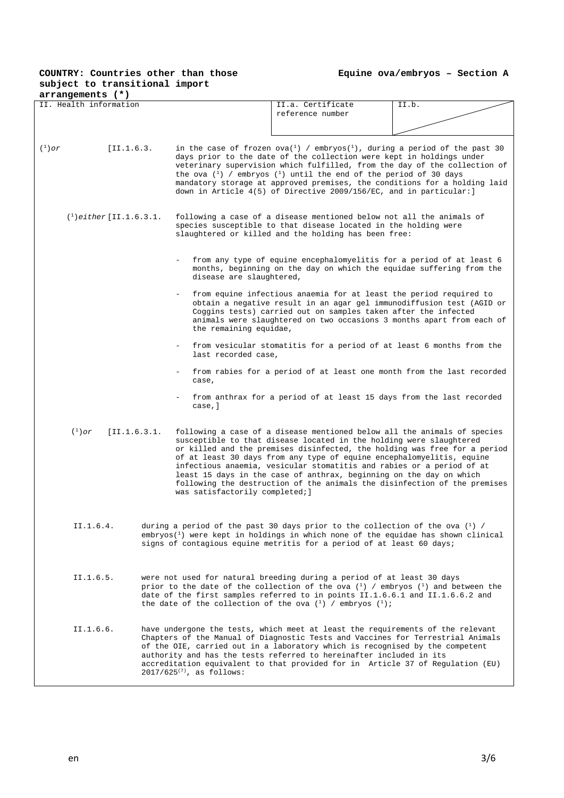**Equine ova/embryos – Section A**

| $arrangements$ $(*)$                                                                                                                                                                                                                                                                                                                                                                                                                                      |                                                                                                                                                                                                                                                                                                                                    |                                                                                                                                                                                                                                                                                                                                                                                                                                                                                                                                    |       |  |  |
|-----------------------------------------------------------------------------------------------------------------------------------------------------------------------------------------------------------------------------------------------------------------------------------------------------------------------------------------------------------------------------------------------------------------------------------------------------------|------------------------------------------------------------------------------------------------------------------------------------------------------------------------------------------------------------------------------------------------------------------------------------------------------------------------------------|------------------------------------------------------------------------------------------------------------------------------------------------------------------------------------------------------------------------------------------------------------------------------------------------------------------------------------------------------------------------------------------------------------------------------------------------------------------------------------------------------------------------------------|-------|--|--|
| II. Health information                                                                                                                                                                                                                                                                                                                                                                                                                                    |                                                                                                                                                                                                                                                                                                                                    | II.a. Certificate                                                                                                                                                                                                                                                                                                                                                                                                                                                                                                                  | II.b. |  |  |
|                                                                                                                                                                                                                                                                                                                                                                                                                                                           |                                                                                                                                                                                                                                                                                                                                    | reference number                                                                                                                                                                                                                                                                                                                                                                                                                                                                                                                   |       |  |  |
|                                                                                                                                                                                                                                                                                                                                                                                                                                                           |                                                                                                                                                                                                                                                                                                                                    |                                                                                                                                                                                                                                                                                                                                                                                                                                                                                                                                    |       |  |  |
|                                                                                                                                                                                                                                                                                                                                                                                                                                                           |                                                                                                                                                                                                                                                                                                                                    |                                                                                                                                                                                                                                                                                                                                                                                                                                                                                                                                    |       |  |  |
| $(^1)$ or<br>[II.1.6.3]                                                                                                                                                                                                                                                                                                                                                                                                                                   |                                                                                                                                                                                                                                                                                                                                    | in the case of frozen ova( $^1$ ) / embryos( $^1$ ), during a period of the past 30<br>days prior to the date of the collection were kept in holdings under<br>veterinary supervision which fulfilled, from the day of the collection of<br>the ova $\binom{1}{1}$ / embryos $\binom{1}{1}$ until the end of the period of 30 days<br>mandatory storage at approved premises, the conditions for a holding laid<br>down in Article 4(5) of Directive 2009/156/EC, and in particular: ]                                             |       |  |  |
| $(1)$ either [II.1.6.3.1.]                                                                                                                                                                                                                                                                                                                                                                                                                                |                                                                                                                                                                                                                                                                                                                                    | following a case of a disease mentioned below not all the animals of<br>species susceptible to that disease located in the holding were<br>slaughtered or killed and the holding has been free:                                                                                                                                                                                                                                                                                                                                    |       |  |  |
|                                                                                                                                                                                                                                                                                                                                                                                                                                                           | disease are slaughtered,                                                                                                                                                                                                                                                                                                           | from any type of equine encephalomyelitis for a period of at least 6<br>months, beginning on the day on which the equidae suffering from the                                                                                                                                                                                                                                                                                                                                                                                       |       |  |  |
|                                                                                                                                                                                                                                                                                                                                                                                                                                                           | the remaining equidae,                                                                                                                                                                                                                                                                                                             | from equine infectious anaemia for at least the period required to<br>obtain a negative result in an agar gel immunodiffusion test (AGID or<br>Coggins tests) carried out on samples taken after the infected<br>animals were slaughtered on two occasions 3 months apart from each of                                                                                                                                                                                                                                             |       |  |  |
|                                                                                                                                                                                                                                                                                                                                                                                                                                                           | last recorded case,                                                                                                                                                                                                                                                                                                                | from vesicular stomatitis for a period of at least 6 months from the                                                                                                                                                                                                                                                                                                                                                                                                                                                               |       |  |  |
|                                                                                                                                                                                                                                                                                                                                                                                                                                                           | case,                                                                                                                                                                                                                                                                                                                              | from rabies for a period of at least one month from the last recorded                                                                                                                                                                                                                                                                                                                                                                                                                                                              |       |  |  |
|                                                                                                                                                                                                                                                                                                                                                                                                                                                           | case, ]                                                                                                                                                                                                                                                                                                                            | from anthrax for a period of at least 15 days from the last recorded                                                                                                                                                                                                                                                                                                                                                                                                                                                               |       |  |  |
| $(1)$ or<br>[I1.1.6.3.1]                                                                                                                                                                                                                                                                                                                                                                                                                                  | was satisfactorily completed; ]                                                                                                                                                                                                                                                                                                    | following a case of a disease mentioned below all the animals of species<br>susceptible to that disease located in the holding were slaughtered<br>or killed and the premises disinfected, the holding was free for a period<br>of at least 30 days from any type of equine encephalomyelitis, equine<br>infectious anaemia, vesicular stomatitis and rabies or a period of at<br>least 15 days in the case of anthrax, beginning on the day on which<br>following the destruction of the animals the disinfection of the premises |       |  |  |
| II.1.6.4.                                                                                                                                                                                                                                                                                                                                                                                                                                                 |                                                                                                                                                                                                                                                                                                                                    | during a period of the past 30 days prior to the collection of the ova $(1)$ /<br>$embryos{1}$ were kept in holdings in which none of the equidae has shown clinical<br>signs of contagious equine metritis for a period of at least 60 days;                                                                                                                                                                                                                                                                                      |       |  |  |
| II.1.6.5.                                                                                                                                                                                                                                                                                                                                                                                                                                                 | were not used for natural breeding during a period of at least 30 days<br>prior to the date of the collection of the ova $\binom{1}{1}$ / embryos $\binom{1}{1}$ and between the<br>date of the first samples referred to in points II.1.6.6.1 and II.1.6.6.2 and<br>the date of the collection of the ova $(1)$ / embryos $(1)$ ; |                                                                                                                                                                                                                                                                                                                                                                                                                                                                                                                                    |       |  |  |
| II.1.6.6.<br>have undergone the tests, which meet at least the requirements of the relevant<br>Chapters of the Manual of Diagnostic Tests and Vaccines for Terrestrial Animals<br>of the OIE, carried out in a laboratory which is recognised by the competent<br>authority and has the tests referred to hereinafter included in its<br>accreditation equivalent to that provided for in Article 37 of Regulation (EU)<br>$2017/625^{(7)}$ , as follows: |                                                                                                                                                                                                                                                                                                                                    |                                                                                                                                                                                                                                                                                                                                                                                                                                                                                                                                    |       |  |  |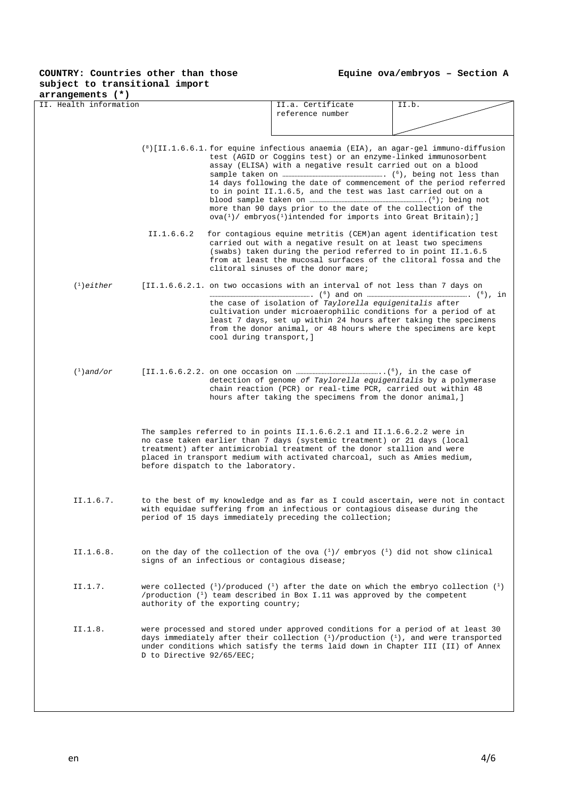| arrangements (*)                                                                                                                                                                                             |                           |                                                                                                                                                                                                                                                                                                                                                                                                                                                                                                                                                                                                                   |                                                                                                                                                                                                                                                                                                                                                 |       |  |  |  |
|--------------------------------------------------------------------------------------------------------------------------------------------------------------------------------------------------------------|---------------------------|-------------------------------------------------------------------------------------------------------------------------------------------------------------------------------------------------------------------------------------------------------------------------------------------------------------------------------------------------------------------------------------------------------------------------------------------------------------------------------------------------------------------------------------------------------------------------------------------------------------------|-------------------------------------------------------------------------------------------------------------------------------------------------------------------------------------------------------------------------------------------------------------------------------------------------------------------------------------------------|-------|--|--|--|
| II. Health information                                                                                                                                                                                       |                           |                                                                                                                                                                                                                                                                                                                                                                                                                                                                                                                                                                                                                   | II.a. Certificate<br>reference number                                                                                                                                                                                                                                                                                                           | II.b. |  |  |  |
|                                                                                                                                                                                                              |                           |                                                                                                                                                                                                                                                                                                                                                                                                                                                                                                                                                                                                                   |                                                                                                                                                                                                                                                                                                                                                 |       |  |  |  |
|                                                                                                                                                                                                              |                           | $({}^{8})$ [II.1.6.6.1. for equine infectious anaemia (EIA), an agar-gel immuno-diffusion<br>test (AGID or Coggins test) or an enzyme-linked immunosorbent<br>assay (ELISA) with a negative result carried out on a blood<br>14 days following the date of commencement of the period referred<br>to in point II.1.6.5, and the test was last carried out on a<br>more than 90 days prior to the date of the collection of the<br>$\alpha$ ova $(1)$ embryos $(1)$ intended for imports into Great Britain);                                                                                                      |                                                                                                                                                                                                                                                                                                                                                 |       |  |  |  |
|                                                                                                                                                                                                              | II.1.6.6.2                |                                                                                                                                                                                                                                                                                                                                                                                                                                                                                                                                                                                                                   | for contagious equine metritis (CEM) an agent identification test<br>carried out with a negative result on at least two specimens<br>(swabs) taken during the period referred to in point II.1.6.5<br>from at least the mucosal surfaces of the clitoral fossa and the<br>clitoral sinuses of the donor mare;                                   |       |  |  |  |
| $(1)$ either                                                                                                                                                                                                 |                           | cool during transport, ]                                                                                                                                                                                                                                                                                                                                                                                                                                                                                                                                                                                          | [II.1.6.6.2.1. on two occasions with an interval of not less than 7 days on<br>the case of isolation of Taylorella equigenitalis after<br>cultivation under microaerophilic conditions for a period of at<br>least 7 days, set up within 24 hours after taking the specimens<br>from the donor animal, or 48 hours where the specimens are kept |       |  |  |  |
| $(1)$ and/or<br>detection of genome of Taylorella equigenitalis by a polymerase<br>chain reaction (PCR) or real-time PCR, carried out within 48<br>hours after taking the specimens from the donor animal, ] |                           |                                                                                                                                                                                                                                                                                                                                                                                                                                                                                                                                                                                                                   |                                                                                                                                                                                                                                                                                                                                                 |       |  |  |  |
|                                                                                                                                                                                                              |                           | The samples referred to in points II.1.6.6.2.1 and II.1.6.6.2.2 were in<br>no case taken earlier than 7 days (systemic treatment) or 21 days (local<br>treatment) after antimicrobial treatment of the donor stallion and were<br>placed in transport medium with activated charcoal, such as Amies medium,<br>before dispatch to the laboratory.                                                                                                                                                                                                                                                                 |                                                                                                                                                                                                                                                                                                                                                 |       |  |  |  |
| II.1.6.7.                                                                                                                                                                                                    |                           | to the best of my knowledge and as far as I could ascertain, were not in contact<br>with equidae suffering from an infectious or contagious disease during the<br>period of 15 days immediately preceding the collection;<br>on the day of the collection of the ova $\binom{1}{1}$ embryos $\binom{1}{1}$ did not show clinical<br>signs of an infectious or contagious disease;<br>were collected $({}^{1})$ /produced $({}^{1})$ after the date on which the embryo collection $({}^{1})$<br>/production $(1)$ team described in Box I.11 was approved by the competent<br>authority of the exporting country; |                                                                                                                                                                                                                                                                                                                                                 |       |  |  |  |
| II.1.6.8.                                                                                                                                                                                                    |                           |                                                                                                                                                                                                                                                                                                                                                                                                                                                                                                                                                                                                                   |                                                                                                                                                                                                                                                                                                                                                 |       |  |  |  |
| II.1.7.                                                                                                                                                                                                      |                           |                                                                                                                                                                                                                                                                                                                                                                                                                                                                                                                                                                                                                   |                                                                                                                                                                                                                                                                                                                                                 |       |  |  |  |
| II.1.8.                                                                                                                                                                                                      | D to Directive 92/65/EEC; |                                                                                                                                                                                                                                                                                                                                                                                                                                                                                                                                                                                                                   | were processed and stored under approved conditions for a period of at least 30<br>days immediately after their collection $(1)/$ production $(1)$ , and were transported<br>under conditions which satisfy the terms laid down in Chapter III (II) of Annex                                                                                    |       |  |  |  |
|                                                                                                                                                                                                              |                           |                                                                                                                                                                                                                                                                                                                                                                                                                                                                                                                                                                                                                   |                                                                                                                                                                                                                                                                                                                                                 |       |  |  |  |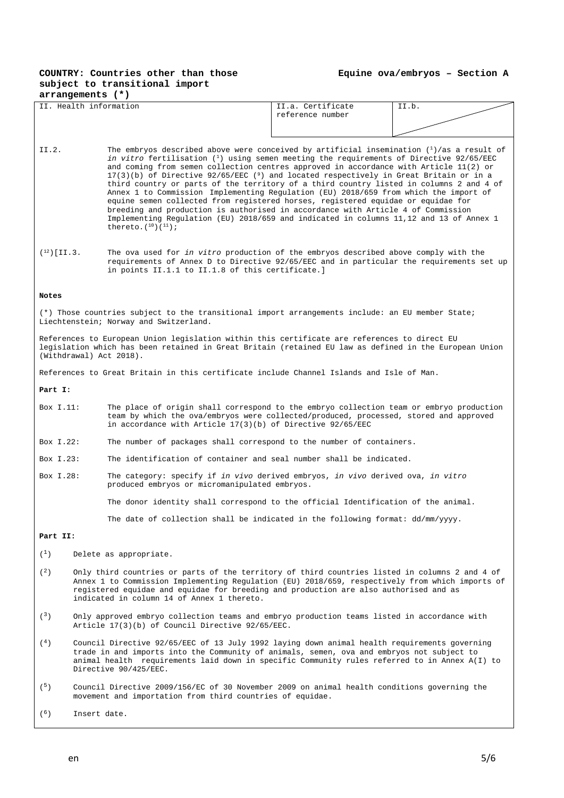#### **Equine ova/embryos – Section A**

| arrangements (*) |                                                                                                                                            |                                                                                                                                                                                                                                                                                                                                                                                                                                                                                                                                                                                                                                                                                                                                                                                                                                        |                                                                                                                                                                                                                                                    |       |  |  |  |
|------------------|--------------------------------------------------------------------------------------------------------------------------------------------|----------------------------------------------------------------------------------------------------------------------------------------------------------------------------------------------------------------------------------------------------------------------------------------------------------------------------------------------------------------------------------------------------------------------------------------------------------------------------------------------------------------------------------------------------------------------------------------------------------------------------------------------------------------------------------------------------------------------------------------------------------------------------------------------------------------------------------------|----------------------------------------------------------------------------------------------------------------------------------------------------------------------------------------------------------------------------------------------------|-------|--|--|--|
|                  | II. Health information                                                                                                                     |                                                                                                                                                                                                                                                                                                                                                                                                                                                                                                                                                                                                                                                                                                                                                                                                                                        | II.a. Certificate                                                                                                                                                                                                                                  | II.b. |  |  |  |
|                  |                                                                                                                                            |                                                                                                                                                                                                                                                                                                                                                                                                                                                                                                                                                                                                                                                                                                                                                                                                                                        | reference number                                                                                                                                                                                                                                   |       |  |  |  |
|                  |                                                                                                                                            |                                                                                                                                                                                                                                                                                                                                                                                                                                                                                                                                                                                                                                                                                                                                                                                                                                        |                                                                                                                                                                                                                                                    |       |  |  |  |
| II.2.            | thereto. $(^{10}) (^{11})$ ;                                                                                                               | The embryos described above were conceived by artificial insemination $(1)/$ as a result of<br>in vitro fertilisation $(1)$ using semen meeting the requirements of Directive 92/65/EEC<br>and coming from semen collection centres approved in accordance with Article 11(2) or<br>$17(3)(b)$ of Directive $92/65/EEC$ ( $9$ ) and located respectively in Great Britain or in a<br>third country or parts of the territory of a third country listed in columns 2 and 4 of<br>Annex 1 to Commission Implementing Regulation (EU) 2018/659 from which the import of<br>equine semen collected from registered horses, registered equidae or equidae for<br>breeding and production is authorised in accordance with Article 4 of Commission<br>Implementing Regulation (EU) 2018/659 and indicated in columns 11,12 and 13 of Annex 1 |                                                                                                                                                                                                                                                    |       |  |  |  |
| $(12)$ [II.3.    |                                                                                                                                            | The ova used for in vitro production of the embryos described above comply with the<br>requirements of Annex D to Directive 92/65/EEC and in particular the requirements set up<br>in points II.1.1 to II.1.8 of this certificate.]                                                                                                                                                                                                                                                                                                                                                                                                                                                                                                                                                                                                    |                                                                                                                                                                                                                                                    |       |  |  |  |
| Notes            |                                                                                                                                            |                                                                                                                                                                                                                                                                                                                                                                                                                                                                                                                                                                                                                                                                                                                                                                                                                                        |                                                                                                                                                                                                                                                    |       |  |  |  |
|                  | (*) Those countries subject to the transitional import arrangements include: an EU member State;<br>Liechtenstein; Norway and Switzerland. |                                                                                                                                                                                                                                                                                                                                                                                                                                                                                                                                                                                                                                                                                                                                                                                                                                        |                                                                                                                                                                                                                                                    |       |  |  |  |
|                  | (Withdrawal) Act 2018).                                                                                                                    | References to European Union legislation within this certificate are references to direct EU<br>legislation which has been retained in Great Britain (retained EU law as defined in the European Union                                                                                                                                                                                                                                                                                                                                                                                                                                                                                                                                                                                                                                 |                                                                                                                                                                                                                                                    |       |  |  |  |
|                  | References to Great Britain in this certificate include Channel Islands and Isle of Man.                                                   |                                                                                                                                                                                                                                                                                                                                                                                                                                                                                                                                                                                                                                                                                                                                                                                                                                        |                                                                                                                                                                                                                                                    |       |  |  |  |
| Part I:          |                                                                                                                                            |                                                                                                                                                                                                                                                                                                                                                                                                                                                                                                                                                                                                                                                                                                                                                                                                                                        |                                                                                                                                                                                                                                                    |       |  |  |  |
| Box I.11:        |                                                                                                                                            |                                                                                                                                                                                                                                                                                                                                                                                                                                                                                                                                                                                                                                                                                                                                                                                                                                        | The place of origin shall correspond to the embryo collection team or embryo production<br>team by which the ova/embryos were collected/produced, processed, stored and approved<br>in accordance with Article $17(3)(b)$ of Directive $92/65/EEC$ |       |  |  |  |
| Box I.22:        |                                                                                                                                            | The number of packages shall correspond to the number of containers.                                                                                                                                                                                                                                                                                                                                                                                                                                                                                                                                                                                                                                                                                                                                                                   |                                                                                                                                                                                                                                                    |       |  |  |  |
| Box I.23:        |                                                                                                                                            | The identification of container and seal number shall be indicated.                                                                                                                                                                                                                                                                                                                                                                                                                                                                                                                                                                                                                                                                                                                                                                    |                                                                                                                                                                                                                                                    |       |  |  |  |
| Box I.28:        |                                                                                                                                            | The category: specify if in vivo derived embryos, in vivo derived ova, in vitro<br>produced embryos or micromanipulated embryos.                                                                                                                                                                                                                                                                                                                                                                                                                                                                                                                                                                                                                                                                                                       |                                                                                                                                                                                                                                                    |       |  |  |  |
|                  |                                                                                                                                            | The donor identity shall correspond to the official Identification of the animal.                                                                                                                                                                                                                                                                                                                                                                                                                                                                                                                                                                                                                                                                                                                                                      |                                                                                                                                                                                                                                                    |       |  |  |  |
|                  |                                                                                                                                            | The date of collection shall be indicated in the following format: $dd/\text{mm/yyyy}$ .                                                                                                                                                                                                                                                                                                                                                                                                                                                                                                                                                                                                                                                                                                                                               |                                                                                                                                                                                                                                                    |       |  |  |  |
|                  | Part II:                                                                                                                                   |                                                                                                                                                                                                                                                                                                                                                                                                                                                                                                                                                                                                                                                                                                                                                                                                                                        |                                                                                                                                                                                                                                                    |       |  |  |  |
| $(^1)$           | Delete as appropriate.                                                                                                                     |                                                                                                                                                                                                                                                                                                                                                                                                                                                                                                                                                                                                                                                                                                                                                                                                                                        |                                                                                                                                                                                                                                                    |       |  |  |  |
| (2)              | registered equidae and equidae for breeding and production are also authorised and as<br>indicated in column 14 of Annex 1 thereto.        |                                                                                                                                                                                                                                                                                                                                                                                                                                                                                                                                                                                                                                                                                                                                                                                                                                        | Only third countries or parts of the territory of third countries listed in columns 2 and 4 of<br>Annex 1 to Commission Implementing Regulation (EU) 2018/659, respectively from which imports of                                                  |       |  |  |  |
| (3)              | Article 17(3)(b) of Council Directive 92/65/EEC.                                                                                           |                                                                                                                                                                                                                                                                                                                                                                                                                                                                                                                                                                                                                                                                                                                                                                                                                                        | Only approved embryo collection teams and embryo production teams listed in accordance with                                                                                                                                                        |       |  |  |  |
| (4)              | Directive 90/425/EEC.                                                                                                                      | Council Directive 92/65/EEC of 13 July 1992 laying down animal health requirements governing<br>trade in and imports into the Community of animals, semen, ova and embryos not subject to<br>animal health requirements laid down in specific Community rules referred to in Annex A(I) to                                                                                                                                                                                                                                                                                                                                                                                                                                                                                                                                             |                                                                                                                                                                                                                                                    |       |  |  |  |
| (5)              | Council Directive 2009/156/EC of 30 November 2009 on animal health conditions governing the                                                |                                                                                                                                                                                                                                                                                                                                                                                                                                                                                                                                                                                                                                                                                                                                                                                                                                        |                                                                                                                                                                                                                                                    |       |  |  |  |

(5) Council Directive 2009/156/EC of 30 November 2009 on animal health conditions governing the movement and importation from third countries of equidae.

 $(6)$  Insert date.